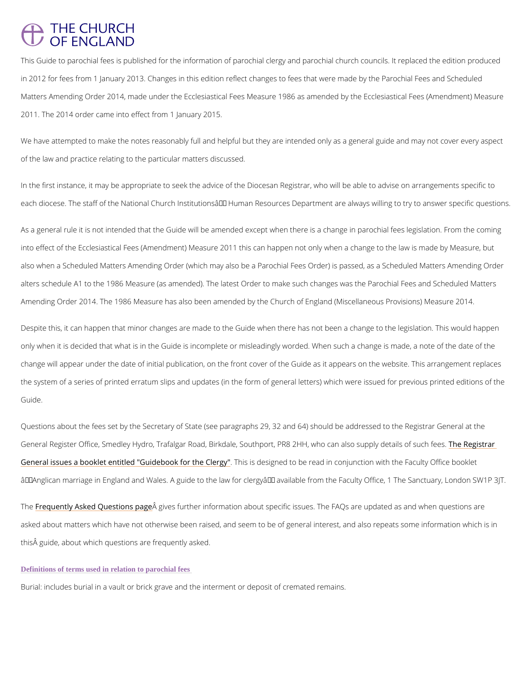# **THE CHURCH** OF ENGLAND

This Guide to parochial fees is published for the information of parochial clergy and parochi in 2012 for fees from 1 January 2013. Changes in this edition reflect changes to fees that we Matters Amending Order 2014, made under the Ecclesiastical Fees Measure 1986 as amended 2011. The 2014 order came into effect from 1 January 2015.

We have attempted to make the notes reasonably full and helpful but they are intended only of the law and practice relating to the particular matters discussed.

In the first instance, it may be appropriate to seek the advice of the Diocesan Registrar, who each diocese. The staff of the National Church Institutions' Human Resources Department

As a general rule it is not intended that the Guide will be amended except when there is a change in parochial into effect of the Ecclesiastical Fees (Amendment) Measure 2011 this can happen not only wl also when a Scheduled Matters Amending Order (which may also be a Parochial Fees Order) alters schedule A1 to the 1986 Measure (as amended). The latest Order to make such change Amending Order 2014. The 1986 Measure has also been amended by the Church of England (N

Despite this, it can happen that minor changes are made to the Guide when there has not been a change to the l only when it is decided that what is in the Guide is incomplete or misleadingly worded. When change will appear under the date of initial publication, on the front cover of the Guide as it the system of a series of printed erratum slips and updates (in the form of general letters) w Guide.

Questions about the fees set by the Secretary of State (see paragraphs 29, 32 and 64) shoul General Register Office, Smedley Hydro, Trafalgar Road, Birkdale, Southport, PRBe2Redgisvtha [General issues a booklet entitled "Guid](http://www.homeoffice.gov.uk/publications/agencies-public-bodies/ips/general-ips-publications/civil-reg/clergy-guide)ebToois ifsordehseg@eedrogoog" be read in conjunction with the Faculty O  $\hat{a} \in \tilde{a}$  Anglican marriage in England and Wales. A guide to the law for clergy  $\hat{a} \in \tilde{a}$  available from

Th<u>[e Frequently Asked Que](/resources/clergy-resources/national-clergy-hr/life-events-parochial-fees-and-guidance/life-events)</u>ssitigning spangether information about specific issues. The FAQs are upd

asked about matters which have not otherwise been raised, and seem to be of general interes

this guide, about which questions are frequently asked.

Definitions of terms used in relation to parochial fees

Burialncludes burial in a vault or brick grave and the interment or deposit of cremated remain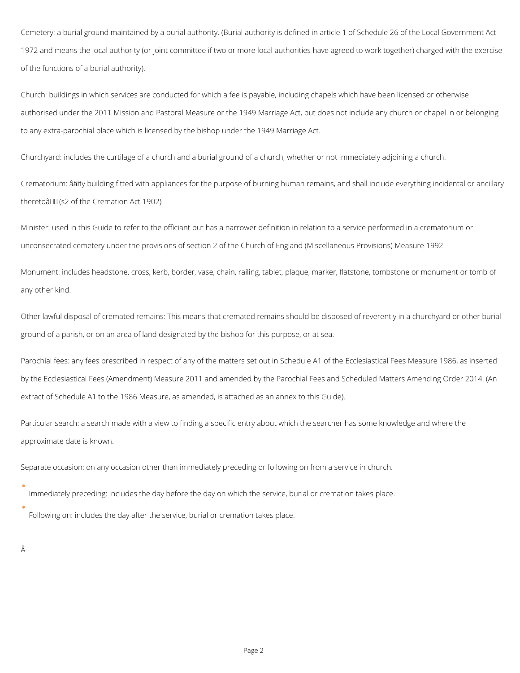Cemetery: a burial ground maintained by a burial authority. (Burial authority is defined in article 1 of Schedule 26 of the Local Government Act 1972 and means the local authority (or joint committee if two or more local authorities have agreed to work together) charged with the exercise of the functions of a burial authority).

Church: buildings in which services are conducted for which a fee is payable, including chapels which have been licensed or otherwise authorised under the 2011 Mission and Pastoral Measure or the 1949 Marriage Act, but does not include any church or chapel in or belonging to any extra-parochial place which is licensed by the bishop under the 1949 Marriage Act.

Churchyard: includes the curtilage of a church and a burial ground of a church, whether or not immediately adjoining a church.

Crematorium:  $\hat{a}$ Edy building fitted with appliances for the purpose of burning human remains, and shall include everything incidental or ancillary theretoâ III (s2 of the Cremation Act 1902)

Minister: used in this Guide to refer to the officiant but has a narrower definition in relation to a service performed in a crematorium or unconsecrated cemetery under the provisions of section 2 of the Church of England (Miscellaneous Provisions) Measure 1992.

Monument: includes headstone, cross, kerb, border, vase, chain, railing, tablet, plaque, marker, flatstone, tombstone or monument or tomb of any other kind.

Other lawful disposal of cremated remains: This means that cremated remains should be disposed of reverently in a churchyard or other burial ground of a parish, or on an area of land designated by the bishop for this purpose, or at sea.

Parochial fees: any fees prescribed in respect of any of the matters set out in Schedule A1 of the Ecclesiastical Fees Measure 1986, as inserted by the Ecclesiastical Fees (Amendment) Measure 2011 and amended by the Parochial Fees and Scheduled Matters Amending Order 2014. (An extract of Schedule A1 to the 1986 Measure, as amended, is attached as an annex to this Guide).

Particular search: a search made with a view to finding a specific entry about which the searcher has some knowledge and where the approximate date is known.

Separate occasion: on any occasion other than immediately preceding or following on from a service in church.

Immediately preceding: includes the day before the day on which the service, burial or cremation takes place.

Following on: includes the day after the service, burial or cremation takes place.

Â

 $\bullet$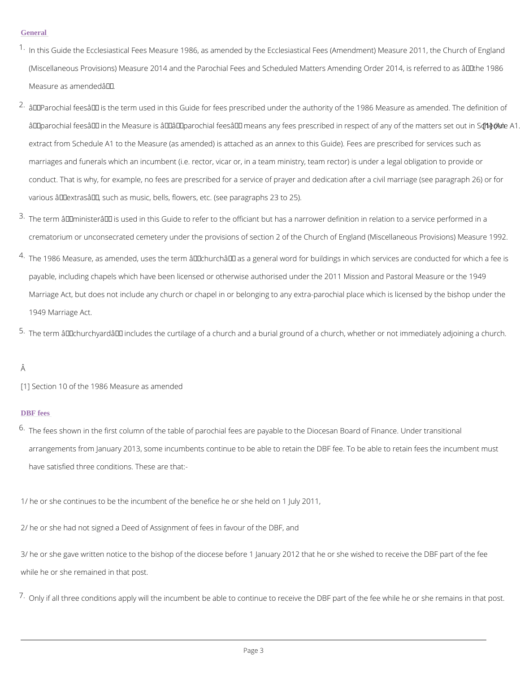#### **General**

- $^{\text{1}}$  In this Guide the Ecclesiastical Fees Measure 1986, as amended by the Ecclesiastical Fees (Miscellaneous Provisions) Measure 2014 and the Parochial Fees and Scheduled Matters Am Measure as amended  $a \in \bullet$ .
- $2 \cdot \hat{a} \in \infty$  Parochial feesâ $\in \bullet$  is the term used in this Guide for fees prescribed under the authority "parochial fees― in the Measure is â€~―parochial fees― means any fees prestc]n(iAbne extract from Schedule A1 to the Measure (as amended) is attached as an annex to this Guid marriages and funerals which an incumbent (i.e. rector, vicar or, in a team ministry, team re conduct. That is why, for example, no fees are prescribed for a service of prayer and dedic various  $\hat{a} \in \infty$  extras $\hat{a} \in \bullet$ , such as music, bells, flowers, etc. (see paragraphs 23 to 25).
- $3\cdot$ The term  $\hat{\mathbf{a}}\in\mathbf{c}$  minister $\hat{\mathbf{a}}\in\bullet$  is used in this Guide to refer to the officiant but has a narrower  $\mathfrak{a}$ crematorium or unconsecrated cemetery under the provisions of section 2 of the Church of
- $^{4}\cdot$ The 1986 Measure, as amended, uses the term  $\mathbf{\hat{a}}\,\mathbf{\hat{e}}\,\mathbf{\hat{e}}\cdot\mathbf{\hat{e}}$  as a general word for building payable, including chapels which have been licensed or otherwise authorised under the 201 Marriage Act, but does not include any church or chapel in or belonging to any extra-parocl 1949 Marriage Act.

 $^{5}$  The term  $\hat{\mathsf{a}}\, \in$  churchyard $\hat{\mathsf{a}}\, \in$  includes the curtilage of a church and a burial ground of a chu

# Â

[1] Section 10 of the 1986 Measure as amended

 $6\cdot$ The fees shown in the first column of the table of parochial fees are payable to the Diocesa arrangements from January 2013, some incumbents continue to be able to retain the DBF fe have satisfied three conditions. These are that:-

3/ he or she gave written notice to the bishop of the diocese before 1 January 2012 that he or while he or she remained in that post.

 $7 \cdot$ Only if all three conditions apply will the incumbent be able to continue to receive the DBF

### DBF fees

1/ he or she continues to be the incumbent of the benefice he or she held on 1 July 2011,

2/ he or she had not signed a Deed of Assignment of fees in favour of the DBF, and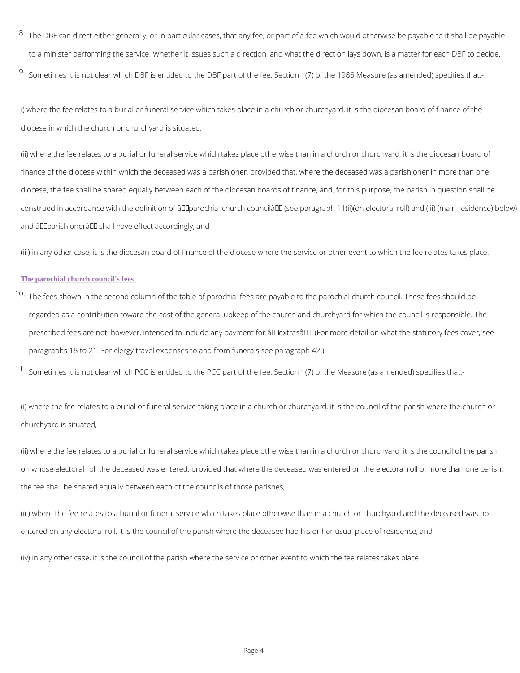$^8\cdot$ The DBF can direct either generally, or in particular cases, that any fee, or part of a fee w to a minister performing the service. Whether it issues such a direction, and what the direc  $9.$ Sometimes it is not clear which DBF is entitled to the DBF part of the fee. Section 1(7) of the  $9.$ 

i) where the fee relates to a burial or funeral service which takes place in a church or churc diocese in which the church or churchyard is situated,

(ii) where the fee relates to a burial or funeral service which takes place otherwise than in a finance of the diocese within which the deceased was a parishioner, provided that, where the diocese, the fee shall be shared equally between each of the diocesan boards of finance, and construed in accordance with the definition of  $\hat{a} \in \infty$  parochial church councilâ $\in \bullet$  (see paragrap and "parishioner― shall have effect accordingly, and

(iii) in any other case, it is the diocesan board of finance of the diocese where the service o

 $^{\text{10}}$  The fees shown in the second column of the table of parochial fees are payable to the paro regarded as a contribution toward the cost of the general upkeep of the church and churchy prescribed fees are not, however, intended to include any payment for "extras―. (For paragraphs 18 to 21. For clergy travel expenses to and from funerals see paragraph 42.)

 $11$  Sometimes it is not clear which PCC is entitled to the PCC part of the fee. Section 1(7) of

(i) where the fee relates to a burial or funeral service taking place in a church or churchyard churchyard is situated,

(ii) where the fee relates to a burial or funeral service which takes place otherwise than in a on whose electoral roll the deceased was entered, provided that where the deceased was ent the fee shall be shared equally between each of the councils of those parishes,

(iii) where the fee relates to a burial or funeral service which takes place otherwise than in

entered on any electoral roll, it is the council of the parish where the deceased had his or h

(iv) in any other case, it is the council of the parish where the service or other event to whid

### The parochial church council's fees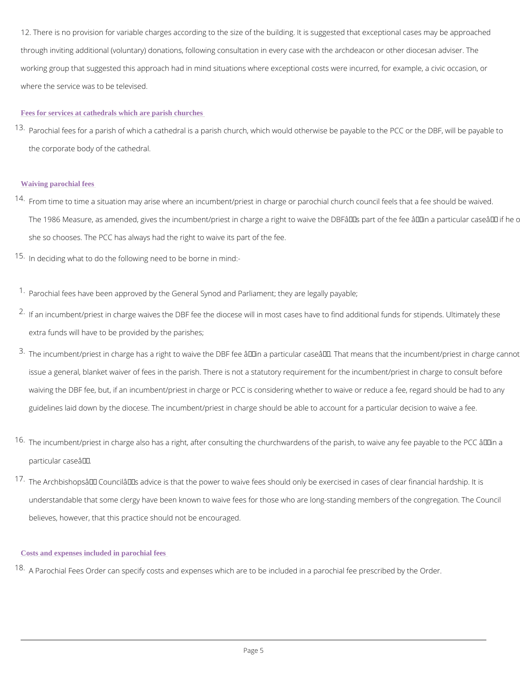12. There is no provision for variable charges according to the size of the building. It is sug through inviting additional (voluntary) donations, following consultation in every case with th working group that suggested this approach had in mind situations where exceptional costs w where the service was to be televised.

 $^{\text{13}}$  Parochial fees for a parish of which a cathedral is a parish church, which would otherwise the corporate body of the cathedral.

#### Fees for services at cathedrals which are parish churches

 $14$  From time to time a situation may arise where an incumbent/priest in charge or parochial ch The 1986 Measure, as amended, gives the incumbent/priest in charge a right to waive the D she so chooses. The PCC has always had the right to waive its part of the fee.

 $15$  In deciding what to do the following need to be borne in mind:-

### Waiving parochial fees

 $1.$ Parochial fees have been approved by the General Synod and Parliament; they are legally payable;  $2\cdot$ If an incumbent/priest in charge waives the DBF fee the diocese will in most cases have to extra funds will have to be provided by the parishes;

- $3\cdot$ The incumbent/priest in charge has a right to waive the DBF fee "in a particular caseâ€ issue a general, blanket waiver of fees in the parish. There is not a statutory requirement waiving the DBF fee, but, if an incumbent/priest in charge or PCC is considering whether to guidelines laid down by the diocese. The incumbent/priest in charge should be able to acco
- $16$  The incumbent/priest in charge also has a right, after consulting the churchwardens of the particular case $a \in \bullet$ .
- $17$  The Archbishopsâ $\in$ <sup>TM</sup> Councilâ $\in$ <sup>TM</sup>s advice is that the power to waive fees should only be ex understandable that some clergy have been known to waive fees for those who are long-sta

believes, however, that this practice should not be encouraged.

Costs and expenses included in parochial fees

 $18$  A Parochial Fees Order can specify costs and expenses which are to be included in a paroc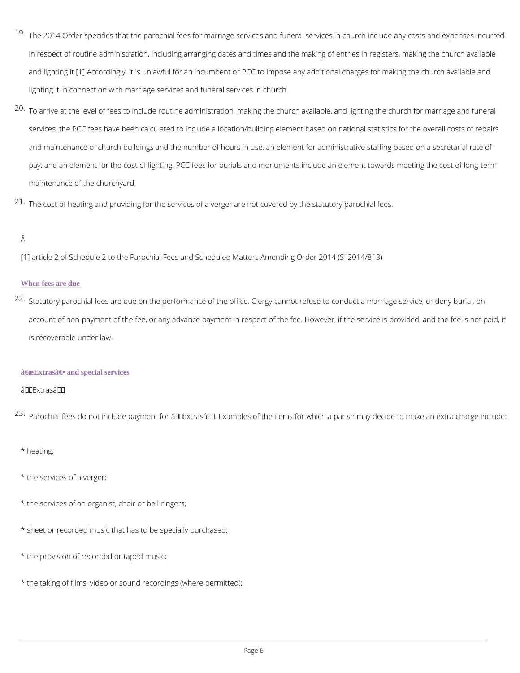- $19$  The 2014 Order specifies that the parochial fees for marriage services and funeral services in respect of routine administration, including arranging dates and times and the making of and light[ngActcordingly, it is unlawful for an incumbent or PCC to impose any additional charges for lighting it in connection with marriage services and funeral services in church.
- $20 \text{ T}$  arrive at the level of fees to include routine administration, making the church available services, the PCC fees have been calculated to include a location/building element based o and maintenance of church buildings and the number of hours in use, an element for admini pay, and an element for the cost of lighting. PCC fees for burials and monuments include a maintenance of the churchyard.
- $21$  The cost of heating and providing for the services of a verger are not covered by the statut

# Â

[1] article 2 of Schedule 2 to the Parochial Fees and Scheduled Matters Amending Order 2014

 $22$  Statutory parochial fees are due on the performance of the office. Clergy cannot refuse to account of non-payment of the fee, or any advance payment in respect of the fee. However, is recoverable under law.

## "Extras― and special services

# $a \in \infty$  Extras  $a \in \bullet$

 $^{2\,3}$  Parochial fees do not include payment for  $\hat{\mathbf{a}} \in \mathbf{\infty}$  extrasâ $\infty$ . Examples of the items for which a

# When fees are due

# \* heating;

\* the services of a verger;

- \* the services of an organist, choir or bell-ringers;
- \* sheet or recorded music that has to be specially purchased;
- \* the provision of recorded or taped music;
- \* the taking of films, video or sound recordings (where permitted);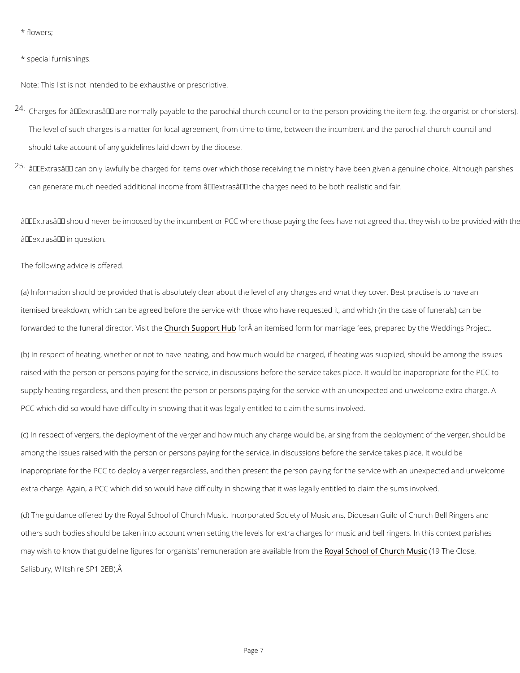\* flowers;

\* special furnishings.

Note: This list is not intended to be exhaustive or prescriptive.

 $^{2\,4}$  Charges for  $\hat{\mathrm{a}}\,\epsilon$   $\mathrm{ce}$  extras $\hat{\mathrm{a}}\,\epsilon\bullet\,$  are normally payable to the parochial church council or to the pe The level of such charges is a matter for local agreement, from time to time, between the in should take account of any guidelines laid down by the diocese.

 $2.5$   $\hat{a}$   $\epsilon$   $\in$   $c$  an only lawfully be charged for items over which those receiving the ministr can generate much needed additional income from  $\hat{a} \in \text{ce}$  extras  $\hat{a} \in \cdot$  the charges need to be bo

 $\hat{a} \in \infty$  Extras  $\hat{a} \in \cdot$  should never be imposed by the incumbent or PCC where those paying the fees  $\hat{a} \in \text{ce}$  extras  $\hat{a} \in \bullet$  in question.

The following advice is offered.

(a) Information should be provided that is absolutely clear about the level of any charges an itemised breakdown, which can be agreed before the service with those who have requested i forwarded to the funeral di<mark>Cehout por he Shuspipot</mark> hiften HAuban itemised form for marriage fees, prepared b

(b) In respect of heating, whether or not to have heating, and how much would be charged, if raised with the person or persons paying for the service, in discussions before the service ta supply heating regardless, and then present the person or persons paying for the service wit PCC which did so would have difficulty in showing that it was legally entitled to claim the su

(c) In respect of vergers, the deployment of the verger and how much any charge would be, a among the issues raised with the person or persons paying for the service, in discussions be inappropriate for the PCC to deploy a verger regardless, and then present the person paying extra charge. Again, a PCC which did so would have difficulty in showing that it was legally

(d) The guidance offered by the Royal School of Church Music, Incorporated Society of Music

others such bodies should be taken into account when setting the levels for extra charges fo

may wish to know that guideline figures for organists' remR**onaraSconocalre** fa**Q auleabel e MinessinG lohse**, Salisbury, Wiltshire SP1 2EB).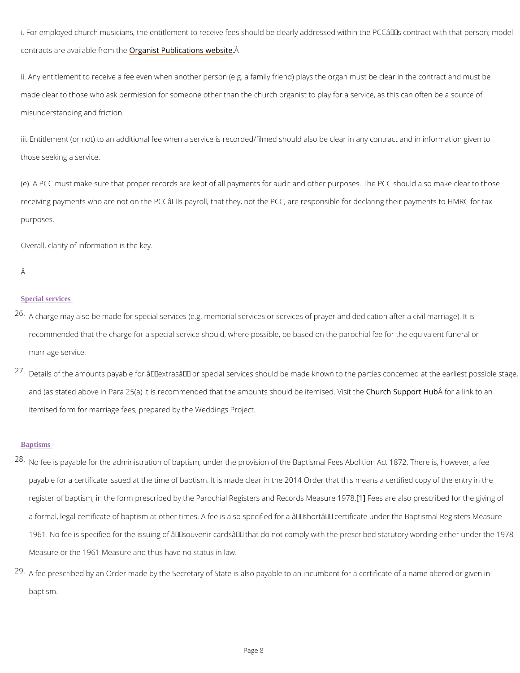i. For employed church musicians, the entitlement to receive fees should be clearly addresse contracts are availa **Q eg amoinst the blication** & website

ii. Any entitlement to receive a fee even when another person (e.g. a family friend) plays the made clear to those who ask permission for someone other than the church organist to play f misunderstanding and friction.

iii. Entitlement (or not) to an additional fee when a service is recorded/filmed should also be those seeking a service.

(e). A PCC must make sure that proper records are kept of all payments for audit and other purpose. receiving payments who are not on the PCC's payroll, that they, not the PCC, are respons purposes.

- $26$ <sup>A</sup> charge may also be made for special services (e.g. memorial services or services of pray recommended that the charge for a special service should, where possible, be based on the marriage service.
- $^{27}$  Details of the amounts payable for  $\hat{\mathbf{a}} \in \mathbf{\infty}$ extras $\hat{\mathbf{a}} \in \mathbf{\bullet}$  or special services should be made known and (as stated above in Para 25(a) it is recommended that the  $6$ mount Sssippor $\hat{P}$ d flotenbatet mink to d. itemised form for marriage fees, prepared by the Weddings Project.

### **Baptisms**

 $^{2\,8}$  No fee is payable for the administration of baptism, under the provision of the Baptismal Fe payable for a certificate issued at the time of baptism. It is maedansclae acreiniftihe ad  $2@p4$  Off other the register of baptism, in the form prescribed by the Parochial R[elighTsebesrsaraeno**il Ro**copornedsschMilbeoanstufno

a formal, legal certificate of bapAti**sene as cathsoor stpenceisfied for a â€~short' certificate under** 

1961. No fee is specified for the issuing of  $\hat{a} \in \tilde{a}$  souvenir cards $\hat{a} \in \tilde{a}$  that do not comply with t

Overall, clarity of information is the key.

# Â

#### Special services

Measure or the 1961 Measure and thus have no status in law.

 $29$  A fee prescribed by an Order made by the Secretary of State is also payable to an incumbe

baptism.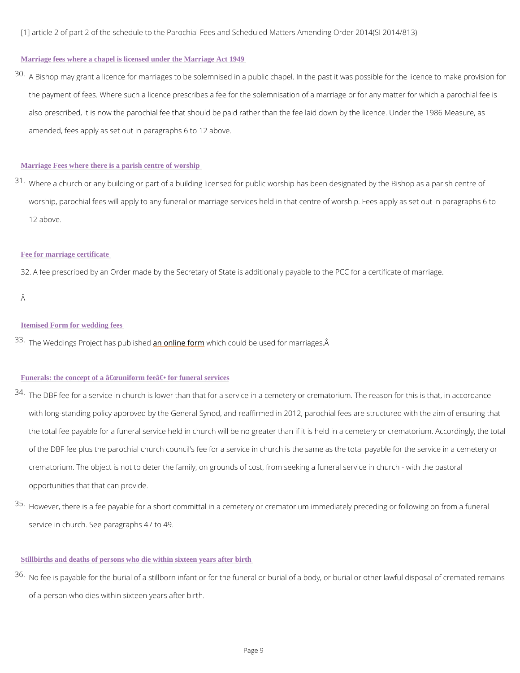[1] article 2 of part 2 of the schedule to the Parochial Fees and Scheduled Matters Amending

### Marriage fees where a chapel is licensed under the Marriage Act 1949

 $30$  A Bishop may grant a licence for marriages to be solemnised in a public chapel. In the past the payment of fees. Where such a licence prescribes a fee for the solemnisation of a marr also prescribed, it is now the parochial fee that should be paid rather than the fee laid dow amended, fees apply as set out in paragraphs 6 to 12 above.

 $31$  Where a church or any building or part of a building licensed for public worship has been d worship, parochial fees will apply to any funeral or marriage services held in that centre of 12 above.

#### Marriage Fees where there is a parish centre of worship

## Fee for marriage certificate

32. A fee prescribed by an Order made by the Secretary of State is additionally payable to th

# Â

 $3\,4$  The DBF fee for a service in church is lower than that for a service in a cemetery or crema with long-standing policy approved by the General Synod, and reaffirmed in 2012, parochial the total fee payable for a funeral service held in church will be no greater than if it is hel of the DBF fee plus the parochial church council's fee for a service in church is the same a crematorium. The object is not to deter the family, on grounds of cost, from seeking a fune opportunities that that can provide.

 $^{\text{35}}$  However, there is a fee payable for a short committal in a cemetery or crematorium immedia

#### Itemised Form for wedding fees

 $33$  The Weddings Project haans op mulbihies hif wow to minimiple used for marriages.  $\hat{A}$ 

#### Funerals: the concept of a  $\hat{a} \in \hat{c}$  couniform fee $\hat{a} \in \hat{c}$  for funeral services

service in church. See paragraphs 47 to 49.

Stillbirths and deaths of persons who die within sixteen years after birth

 $36$  No fee is payable for the burial of a stillborn infant or for the funeral or burial of a body,  $\mathfrak c$ 

of a person who dies within sixteen years after birth.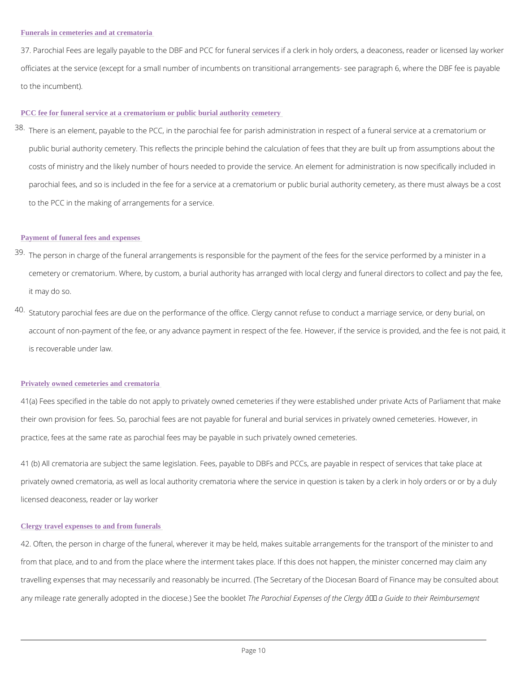37. Parochial Fees are legally payable to the DBF and PCC for funeral services if a clerk in officiates at the service (except for a small number of incumbents on transitional arrangement to the incumbent).

#### PCC fee for funeral service at a crematorium or public burial authority cemetery

 $38\,$ There is an element, payable to the PCC, in the parochial fee for parish administration in r public burial authority cemetery. This reflects the principle behind the calculation of fees t costs of ministry and the likely number of hours needed to provide the service. An element parochial fees, and so is included in the fee for a service at a crematorium or public burial to the PCC in the making of arrangements for a service.

- $39$  The person in charge of the funeral arrangements is responsible for the payment of the fee cemetery or crematorium. Where, by custom, a burial authority has arranged with local cler it may do so.
- $40.$ Statutory parochial fees are due on the performance of the office. Clergy cannot refuse to account of non-payment of the fee, or any advance payment in respect of the fee. However, is recoverable under law.

#### Payment of funeral fees and expenses

#### Privately owned cemeteries and crematoria

41(a) Fees specified in the table do not apply to privately owned cemeteries if they were est their own provision for fees. So, parochial fees are not payable for funeral and burial servic practice, fees at the same rate as parochial fees may be payable in such privately owned cer

41 (b) All crematoria are subject the same legislation. Fees, payable to DBFs and PCCs, are privately owned crematoria, as well as local authority crematoria where the servicoer ibny qaued sutli

Clergy travel expenses to and from funerals

42. Often, the person in charge of the funeral, wherever it may be held, makes suitable arran

from that place, and to and from the place where the interment takes place. If this does not

travelling expenses that may necessarily and reasonably be incurred. (The Secretary of the I

any mileage rate generally adopted in the dihoecePsaero)cbsiead Ehxepebnosoksteotf the Clergy –,a Guide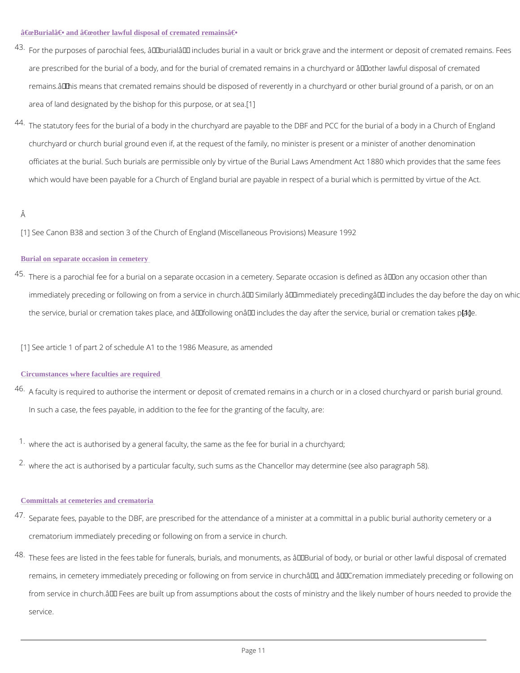- $^{4\,3}\,$ For the purposes of parochial fees,  $\hat{\mathrm{a}}\,\epsilon\,\mathrm{ce}$ burial $\hat{\mathrm{a}}\,\epsilon\,\bullet\,$  includes burial in a vault or brick grave a are prescribed for the burial of a boodfy creemmda**ted** the emburibaln arc<sup>hed</sup> oecohtyheerrollawful disposal of q remainshä € • means that cremated remains should be disposed of reverently in a churchyard or area of land designated by the bishop fof 1this purpose, or at sea.
- $44.$ The statutory fees for the burial of a body in the churchyard are payable to the DBF and PC churchyard or church burial ground even if, at the request of the family, no minister is pres officiates at the burial. Such burials are permissible only by virtue of the Burial Laws Amer which would have been payable for a Church of England burial are payable in respect of a b

# Â

[1] See Canon B38 and section 3 of the Church of England (Miscellaneous Provisions) Measure

# Burial on separate occasion in cemetery

 $^{\,4\,5}\,$ There is a parochial fee for a burial on a separate occasion in a cemetery. Separate occasi immediately preceding or following on from a service in church.― Similarly "immediate the service, burial or cremation takes place, and  $\hat{\mathbf{a}} \in \mathbf{\hat{c}}$  ona $\hat{\mathbf{c}} \in \mathbf{a}$  includes the  $\hat{\mathbf{b}}$  ay afte

[1] See article 1 of part 2 of schedule A1 to the 1986 Measure, as amended

### Circumstances where faculties are required

- $^{4\,6}$  A faculty is required to authorise the interment or deposit of cremated remains in a church In such a case, the fees payable, in addition to the fee for the granting of the faculty, are:
- $1\cdot$ where the act is authorised by a general faculty, the same as the fee for burial in a church  $2\cdot$ where the act is authorised by a particular faculty, such sums as the Chancellor may deterr

 $47$  Separate fees, payable to the DBF, are prescribed for the attendance of a minister at a con

crematorium immediately preceding or following on from a service in church.

 $^{4\,8}$  These fees are listed in the fees table for funerals, burials, and monuments, as  $\hat{\rm a}\, \epsilon$  Burial c

remains, in cemetery immediately preceding or following on from service in church', and

from service in church. $\hat{a} \in \mathbb{T}^M$  Fees are built up from assumptions about the costs of ministry

service.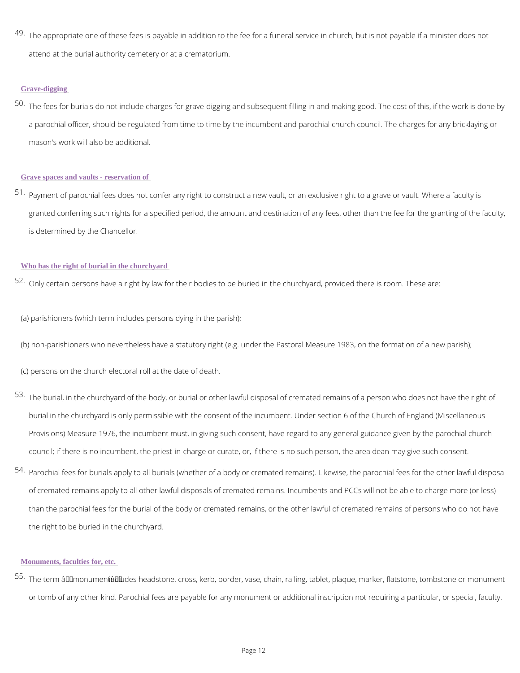$^{4\,9}$  The appropriate one of these fees is payable in addition to the fee for a funeral service in attend at the burial authority cemetery or at a crematorium.

#### Grave-digging

 $^{50}$  The fees for burials do not include charges for grave-digging and subsequent filling in and a parochial officer, should be regulated from time to time by the incumbent and parochial c mason's work will also be additional.

 $51$  Payment of parochial fees does not confer any right to construct a new vault, or an exclusi granted conferring such rights for a specified period, the amount and destination of any fee is determined by the Chancellor.

- (a) parishioners (which term includes persons dying in the parish);
- (b) non-parishioners who nevertheless have a statutory right (e.g. under the Pastoral Measur
- (c) persons on the church electoral roll at the date of death.
- $^{\textbf{53}}$  The burial, in the churchyard of the body, or burial or other lawful disposal of cremated ren burial in the churchyard is only permissible with the consent of the incumbent. Under section Provisions) Measure 1976, the incumbent must, in giving such consent, have regard to any council; if there is no incumbent, the priest-in-charge or curate, or, if there is no such per
- $^{54}$  Parochial fees for burials apply to all burials (whether of a body or cremated remains). Lik of cremated remains apply to all other lawful disposals of cremated remains. Incumbents ar

than the parochial fees for the burial of the body or cremated remains, or the other lawful

#### Grave spaces and vaults - reservation of

#### Who has the right of burial in the churchyard

 $52$  Only certain persons have a right by law for their bodies to be buried in the churchyard, pr

the right to be buried in the churchyard.

Monuments, faculties for, etc.

<sup>55.</sup>The term "mi**onclundenstâh⊕•**adstone, cross, kerb, border, vase, chain, railing, tablet, plaque, or tomb of any other kind. Parochial fees are payable for any monument or additional inscri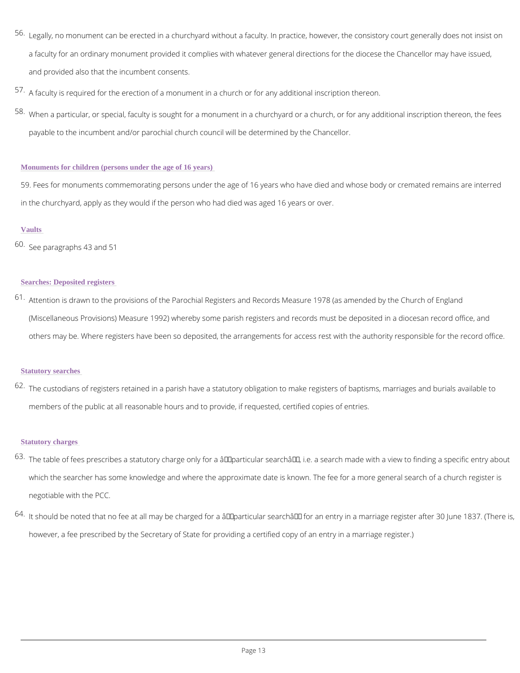$^{56}$  Legally, no monument can be erected in a churchyard without a faculty. In practice, howeve a faculty for an ordinary monument provided it complies with whatever general directions fo and provided also that the incumbent consents.

 $^{\text{57}}$  A faculty is required for the erection of a monument in a church or for any additional inscri  $58$  When a particular, or special, faculty is sought for a monument in a churchyard or a church payable to the incumbent and/or parochial church council will be determined by the Chance

59. Fees for monuments commemorating persons under the age of 16 years who have died and in the churchyard, apply as they would if the person who had died was aged 16 years or over.

#### Monuments for children (persons under the age of 16 years)

# Vaults

60.See paragraphs 43 and 51

# Searches: Deposited registers

 $61$  Attention is drawn to the provisions of the Parochial Registers and Records Measure 1978 ( (Miscellaneous Provisions) Measure 1992) whereby some parish registers and records must others may be. Where registers have been so deposited, the arrangements for access rest w

 $^{63}$ The table of fees prescribes a statutory charge only for a  $\hat{\mathtt{a}}\, \infty$  particular search  $\hat{\mathtt{a}}\, \infty$ , i.e. a s which the searcher has some knowledge and where the approximate date is known. The fee negotiable with the PCC.

 $^{6\,4}$  It should be noted that no fee at all may be charged for a "particular search― for an e

however, a fee prescribed by the Secretary of State for providing a certified copy of an ent

#### Statutory searches

 $^{\rm 62}$  The custodians of registers retained in a parish have a statutory obligation to make registe members of the public at all reasonable hours and to provide, if requested, certified copies

### Statutory charges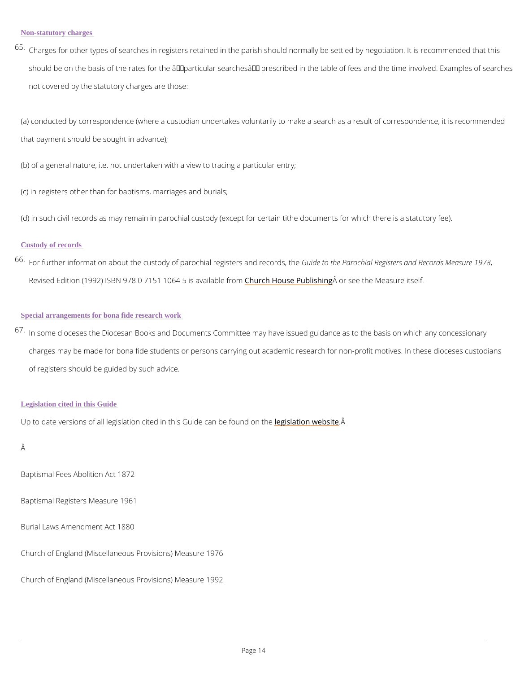$^{\,6\,5}\,$ Charges for other types of searches in registers retained in the parish should normally be  $s$ should be on the basis of the rates for the  $\hat{a} \in \text{ce}$  particular searches  $\hat{a} \in \bullet$  prescribed in the tab not covered by the statutory charges are those:

(a) conducted by correspondence (where a custodian undertakes voluntarily to make a search that payment should be sought in advance);

(b) of a general nature, i.e. not undertaken with a view to tracing a particular entry;

(c) in registers other than for baptisms, marriages and burials;

(d) in such civil records as may remain in parochial custody (except for certain tithe docume

 $67$  In some dioceses the Diocesan Books and Documents Committee may have issued guidance charges may be made for bona fide students or persons carrying out academic research for of registers should be guided by such advice.

# Custody of records

 $66$  For further information about the custody of paroch Gualide gtiost the resonance of Registers and Re Revised Edition (1992) ISBN 978 0 7151 CINDER4 5 Has as a iPausul Hosthraiceneng the Measure itself.

# Special arrangements for bona fide research work

#### Legislation cited in this Guide

Up to date versions of all legislation cited in thiesg Gs which can a he if ound on the

Â

Baptismal Fees Abolition Act 1872

Baptismal Registers Measure 1961

Burial Laws Amendment Act 1880

# Church of England (Miscellaneous Provisions) Measure 1976

Church of England (Miscellaneous Provisions) Measure 1992